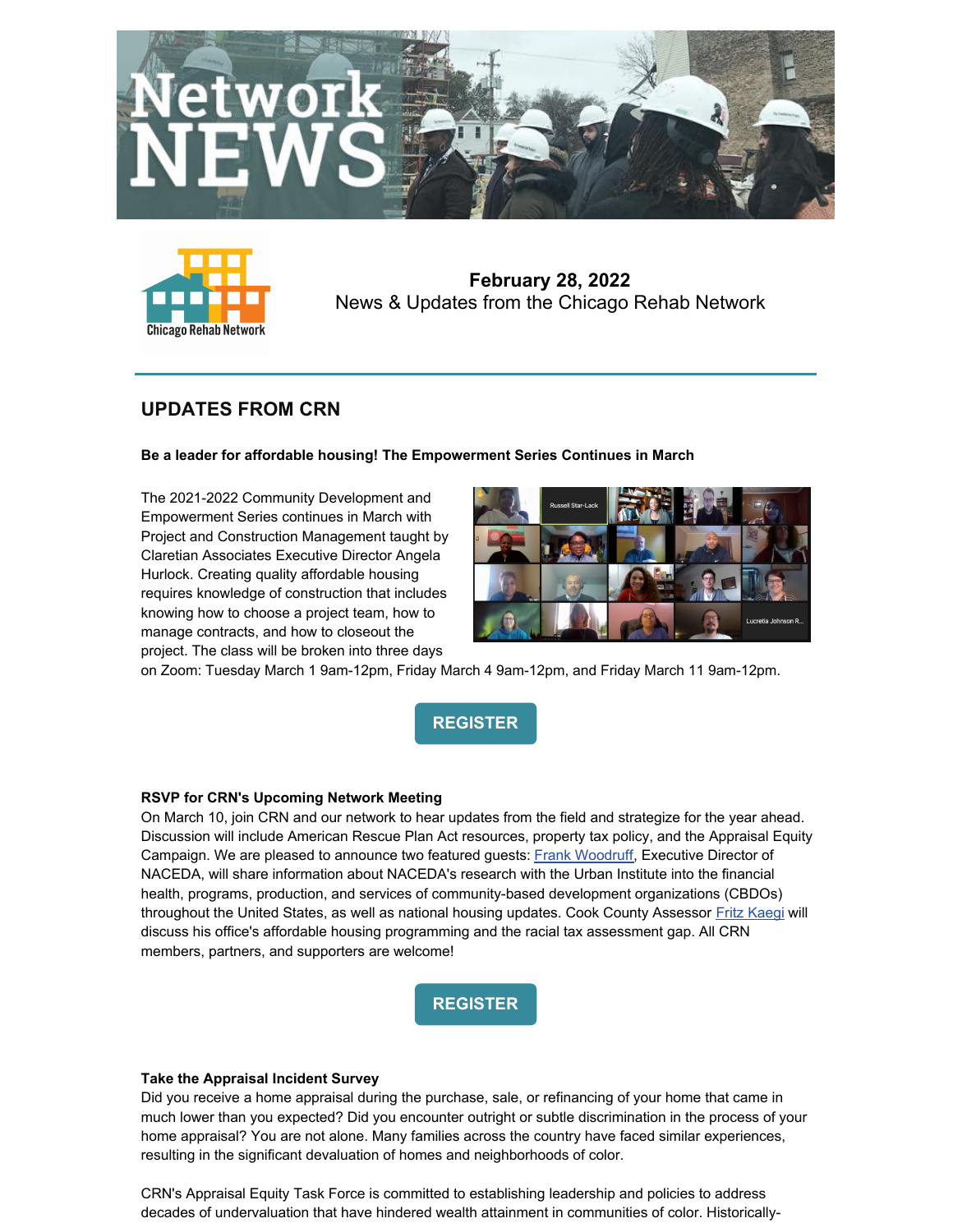



**February 28, 2022** News & Updates from the Chicago Rehab Network

# **UPDATES FROM CRN**

#### **Be a leader for affordable housing! The Empowerment Series Continues in March**

The 2021-2022 Community Development and Empowerment Series continues in March with Project and Construction Management taught by Claretian Associates Executive Director Angela Hurlock. Creating quality affordable housing requires knowledge of construction that includes knowing how to choose a project team, how to manage contracts, and how to closeout the project. The class will be broken into three days



on Zoom: Tuesday March 1 9am-12pm, Friday March 4 9am-12pm, and Friday March 11 9am-12pm.



#### **RSVP for CRN's Upcoming Network Meeting**

On March 10, join CRN and our network to hear updates from the field and strategize for the year ahead. Discussion will include American Rescue Plan Act resources, property tax policy, and the Appraisal Equity Campaign. We are pleased to announce two featured guests: Frank [Woodruff](https://www.naceda.org/frank-woodruff), Executive Director of NACEDA, will share information about NACEDA's research with the Urban Institute into the financial health, programs, production, and services of community-based development organizations (CBDOs) throughout the United States, as well as national housing updates. Cook County Assessor Fritz [Kaegi](https://www.cookcountyassessor.com/about-assessor-fritz-kaegi) will discuss his office's affordable housing programming and the racial tax assessment gap. All CRN members, partners, and supporters are welcome!



#### **Take the Appraisal Incident Survey**

Did you receive a home appraisal during the purchase, sale, or refinancing of your home that came in much lower than you expected? Did you encounter outright or subtle discrimination in the process of your home appraisal? You are not alone. Many families across the country have faced similar experiences, resulting in the significant devaluation of homes and neighborhoods of color.

CRN's Appraisal Equity Task Force is committed to establishing leadership and policies to address decades of undervaluation that have hindered wealth attainment in communities of color. Historically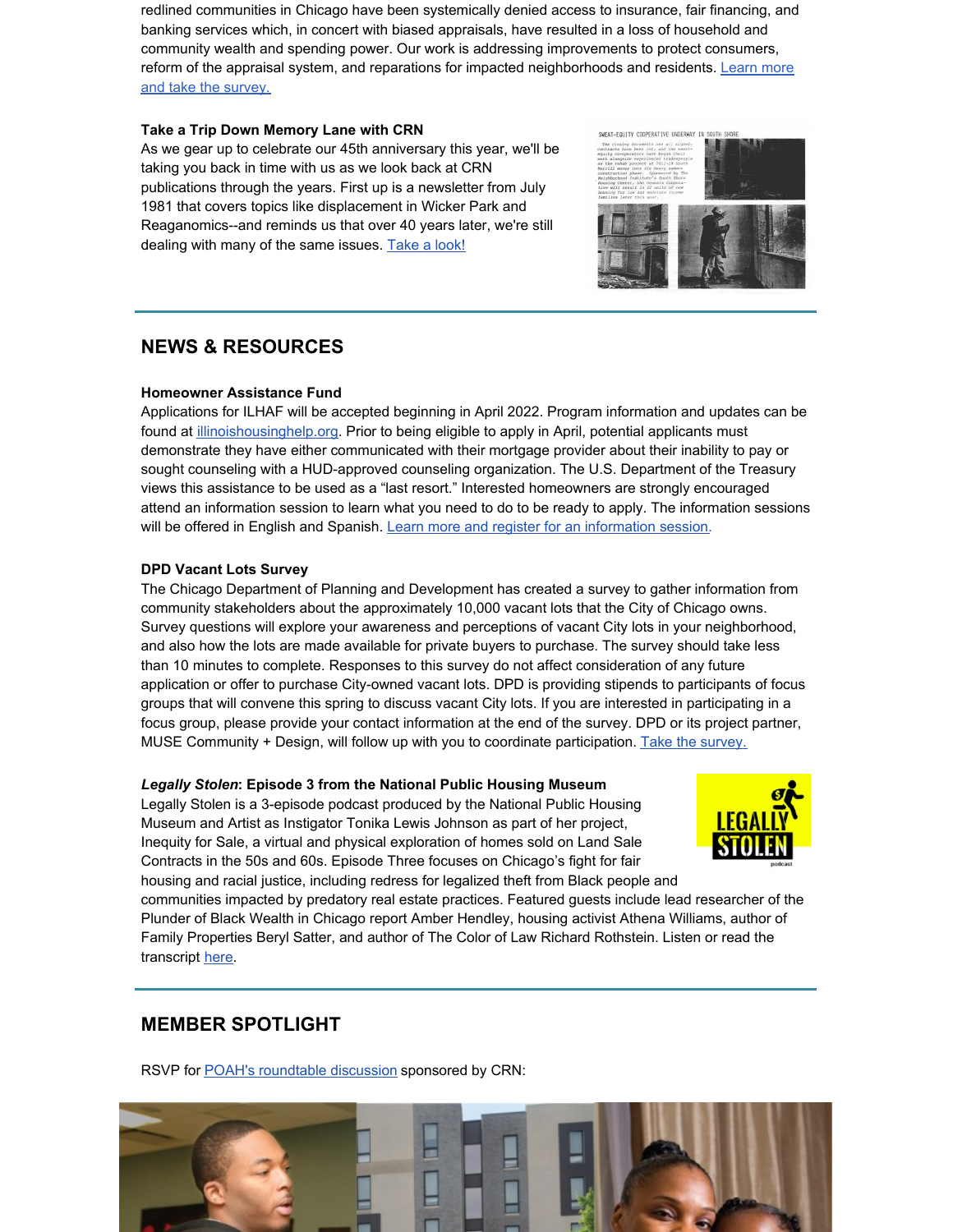redlined communities in Chicago have been systemically denied access to insurance, fair financing, and banking services which, in concert with biased appraisals, have resulted in a loss of household and community wealth and spending power. Our work is addressing improvements to protect consumers, reform of the appraisal system, and reparations for impacted [neighborhoods](https://www.chicagorehab.org/advocacy/appraisal-equity-campaign) and residents. Learn more and take the survey.

#### **Take a Trip Down Memory Lane with CRN**

As we gear up to celebrate our 45th anniversary this year, we'll be taking you back in time with us as we look back at CRN publications through the years. First up is a newsletter from July 1981 that covers topics like displacement in Wicker Park and Reaganomics--and reminds us that over 40 years later, we're still dealing with many of the same issues. [Take](https://www.chicagorehab.org/content/cms/documents/newsletter_july_1981.pdf) a look!



## **NEWS & RESOURCES**

#### **Homeowner Assistance Fund**

Applications for ILHAF will be accepted beginning in April 2022. Program information and updates can be found at [illinoishousinghelp.org](https://r20.rs6.net/tn.jsp?f=001VjOxPEQRXkRVPNzeJDn8bPxV92vydqCKDGUDfltSvDLW6f6WAdK6ta0cPWEFRDkdDt0sSu9jJAomgC72zLSq3xba8zQQVuA6yArdUiW_fisVxTjH0ZcKUhHLuDE-hlhuRqBtBhLmJWoVpPLMBiVvHYf49LK5dWZ1&c=Ox5Iq8I90Zg7mqysrgYrY9-OmMWg1e2vL3pKtzcfPzAf-51I97MwRA==&ch=NHVrsOQobCr1G_FHABxk1iMyDTW4YUK9_IcCtTnrz54YukuygtwFMw==). Prior to being eligible to apply in April, potential applicants must demonstrate they have either communicated with their mortgage provider about their inability to pay or sought counseling with a HUD-approved counseling organization. The U.S. Department of the Treasury views this assistance to be used as a "last resort." Interested homeowners are strongly encouraged attend an information session to learn what you need to do to be ready to apply. The information sessions will be offered in English and Spanish. Learn more and register for an [information](https://www.illinoishousinghelp.org/ilhaf) session.

#### **DPD Vacant Lots Survey**

The Chicago Department of Planning and Development has created a survey to gather information from community stakeholders about the approximately 10,000 vacant lots that the City of Chicago owns. Survey questions will explore your awareness and perceptions of vacant City lots in your neighborhood, and also how the lots are made available for private buyers to purchase. The survey should take less than 10 minutes to complete. Responses to this survey do not affect consideration of any future application or offer to purchase City-owned vacant lots. DPD is providing stipends to participants of focus groups that will convene this spring to discuss vacant City lots. If you are interested in participating in a focus group, please provide your contact information at the end of the survey. DPD or its project partner, MUSE Community + Design, will follow up with you to coordinate participation. Take the [survey.](https://www.surveymonkey.com/r/VacantLots?fbclid=IwAR02cXsQcpwQEBV__P9ifdqYYPkyDC8IRPDyQMNR8eMYvGYdSYM5Ms0FwZc)

#### *Legally Stolen***: Episode 3 from the National Public Housing Museum**

Legally Stolen is a 3-episode podcast produced by the National Public Housing Museum and Artist as Instigator Tonika Lewis Johnson as part of her project, Inequity for Sale, a virtual and physical exploration of homes sold on Land Sale Contracts in the 50s and 60s. Episode Three focuses on Chicago's fight for fair housing and racial justice, including redress for legalized theft from Black people and



communities impacted by predatory real estate practices. Featured guests include lead researcher of the Plunder of Black Wealth in Chicago report Amber Hendley, housing activist Athena Williams, author of Family Properties Beryl Satter, and author of The Color of Law Richard Rothstein. Listen or read the transcript [here](https://www.nphm.org/inequity-for-sale?mc_cid=2c9f781995&mc_eid=86bebeccb1).

### **MEMBER SPOTLIGHT**

RSVP for **POAH's [roundtable](https://events.r20.constantcontact.com/register/eventReg?oeidk=a07ej1h2hr3482d06ba&oseq=&c=&ch=) discussion** sponsored by CRN:

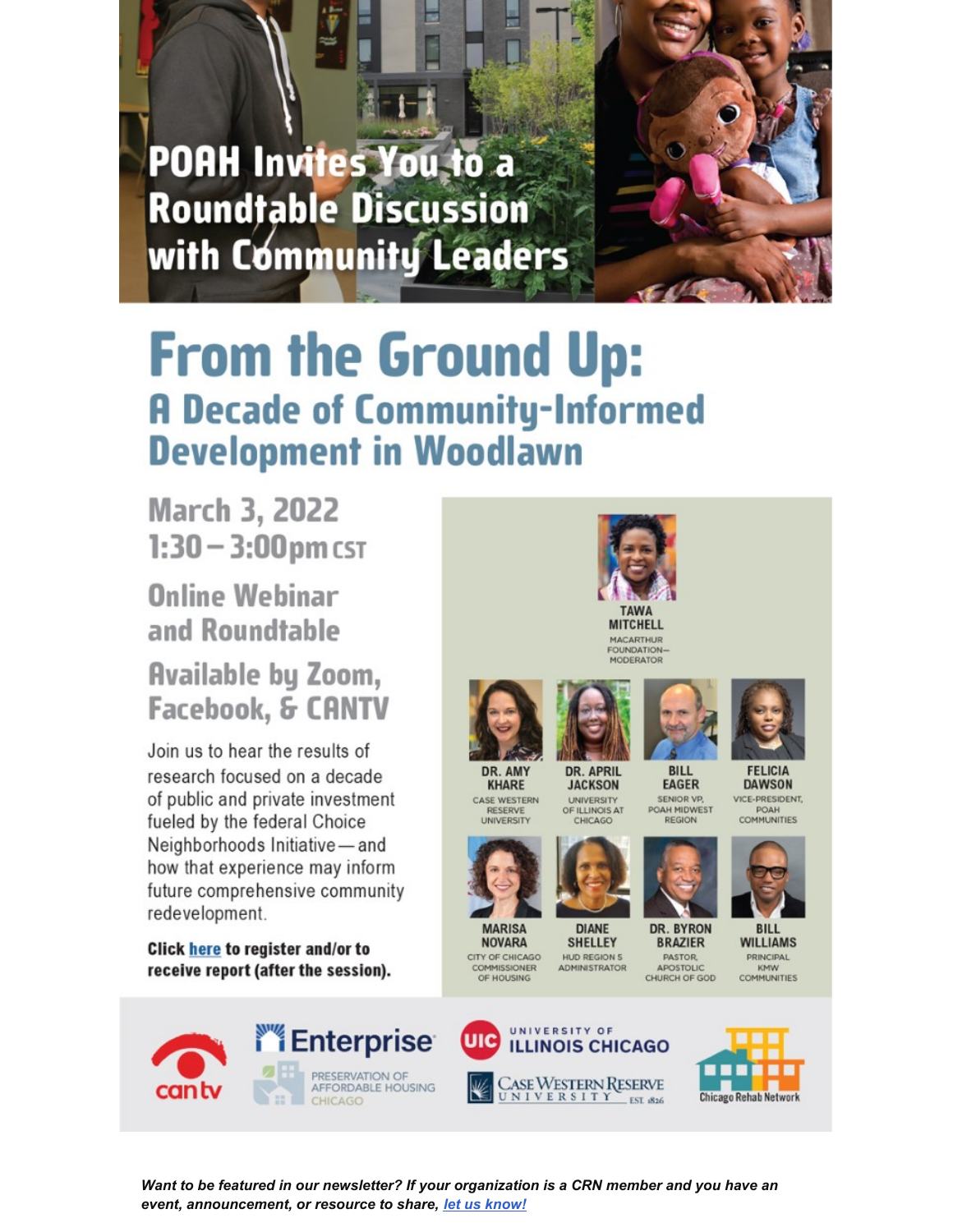**POAH Invites You to a Roundtable Discussion** with Community Leaders



# **From the Ground Up: A Decade of Community-Informed Development in Woodlawn**

**March 3, 2022**  $1:30 - 3:00$  pm cst

**Online Webinar** and Roundtable

# **Available by Zoom,** Facebook, & CANTV

Join us to hear the results of research focused on a decade of public and private investment fueled by the federal Choice Neighborhoods Initiative - and how that experience may inform future comprehensive community redevelopment.

**Click here to register and/or to** receive report (after the session).









Want to be featured in our newsletter? If your organization is a CRN member and you have an event, announcement, or resource to share, let us know!